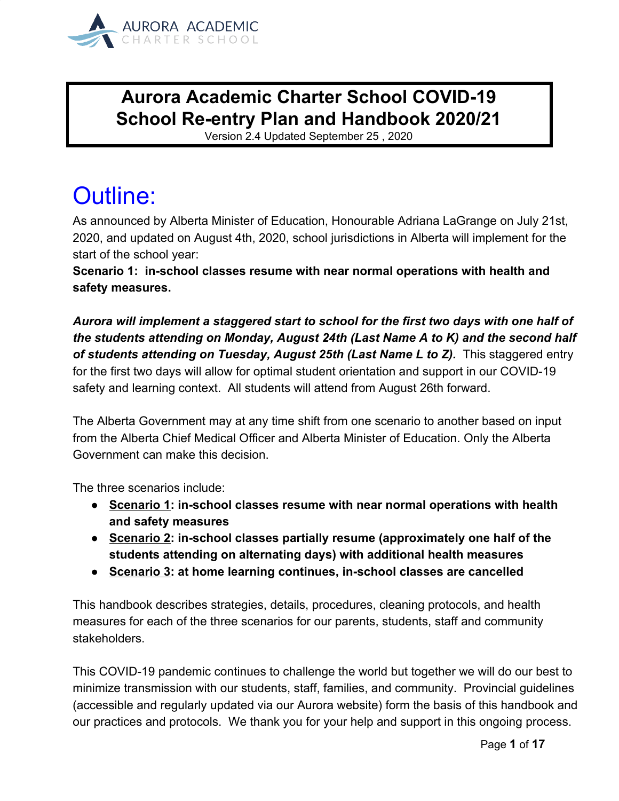

### **Aurora Academic Charter School COVID-19 School Re-entry Plan and Handbook 2020/21**

Version 2.4 Updated September 25 , 2020

# Outline:

As announced by Alberta Minister of Education, Honourable Adriana LaGrange on July 21st, 2020, and updated on August 4th, 2020, school jurisdictions in Alberta will implement for the start of the school year:

**Scenario 1: in-school classes resume with near normal operations with health and safety measures.**

*Aurora will implement a staggered start to school for the first two days with one half of the students attending on Monday, August 24th (Last Name A to K) and the second half* of students attending on Tuesday, August 25th (Last Name L to Z). This staggered entry for the first two days will allow for optimal student orientation and support in our COVID-19 safety and learning context. All students will attend from August 26th forward.

The Alberta Government may at any time shift from one scenario to another based on input from the Alberta Chief Medical Officer and Alberta Minister of Education. Only the Alberta Government can make this decision.

The three scenarios include:

- **● Scenario 1: in-school classes resume with near normal operations with health and safety measures**
- **● Scenario 2: in-school classes partially resume (approximately one half of the students attending on alternating days) with additional health measures**
- **● Scenario 3: at home learning continues, in-school classes are cancelled**

This handbook describes strategies, details, procedures, cleaning protocols, and health measures for each of the three scenarios for our parents, students, staff and community stakeholders.

This COVID-19 pandemic continues to challenge the world but together we will do our best to minimize transmission with our students, staff, families, and community. Provincial guidelines (accessible and regularly updated via our Aurora website) form the basis of this handbook and our practices and protocols. We thank you for your help and support in this ongoing process.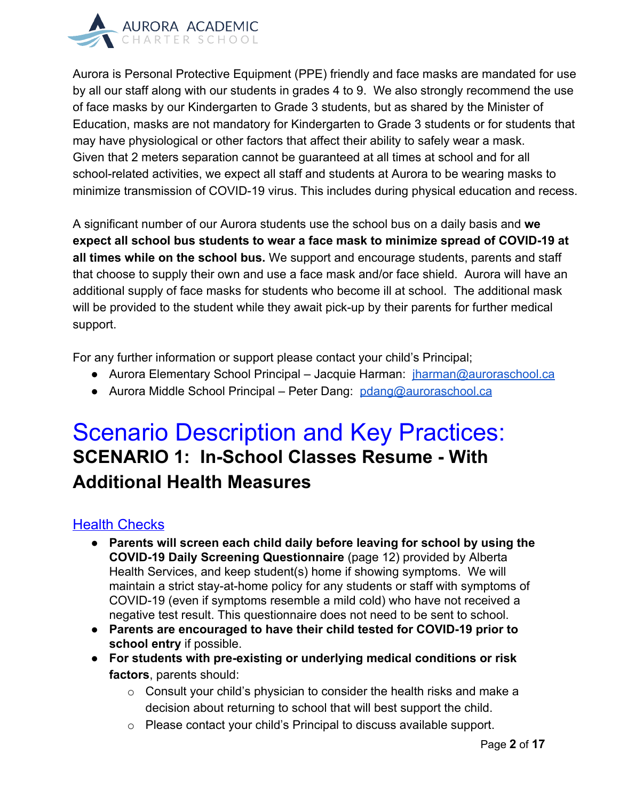

Aurora is Personal Protective Equipment (PPE) friendly and face masks are mandated for use by all our staff along with our students in grades 4 to 9. We also strongly recommend the use of face masks by our Kindergarten to Grade 3 students, but as shared by the Minister of Education, masks are not mandatory for Kindergarten to Grade 3 students or for students that may have physiological or other factors that affect their ability to safely wear a mask. Given that 2 meters separation cannot be guaranteed at all times at school and for all school-related activities, we expect all staff and students at Aurora to be wearing masks to minimize transmission of COVID-19 virus. This includes during physical education and recess.

A significant number of our Aurora students use the school bus on a daily basis and **we expect all school bus students to wear a face mask to minimize spread of COVID-19 at all times while on the school bus.** We support and encourage students, parents and staff that choose to supply their own and use a face mask and/or face shield. Aurora will have an additional supply of face masks for students who become ill at school. The additional mask will be provided to the student while they await pick-up by their parents for further medical support.

For any further information or support please contact your child's Principal;

- Aurora Elementary School Principal Jacquie Harman: *[jharman@auroraschool.ca](mailto:jharman@auroraschool.ca)*
- Aurora Middle School Principal Peter Dang: [pdang@auroraschool.ca](mailto:pdang@auroraschool.ca)

## Scenario Description and Key Practices: **SCENARIO 1: In-School Classes Resume - With Additional Health Measures**

### Health Checks

- **Parents will screen each child daily before leaving for school by using the COVID-19 Daily Screening Questionnaire** (page 12) provided by Alberta Health Services, and keep student(s) home if showing symptoms. We will maintain a strict stay-at-home policy for any students or staff with symptoms of COVID-19 (even if symptoms resemble a mild cold) who have not received a negative test result. This questionnaire does not need to be sent to school.
- **Parents are encouraged to have their child tested for COVID-19 prior to school entry** if possible.
- **For students with pre-existing or underlying medical conditions or risk factors**, parents should:
	- $\circ$  Consult your child's physician to consider the health risks and make a decision about returning to school that will best support the child.
	- o Please contact your child's Principal to discuss available support.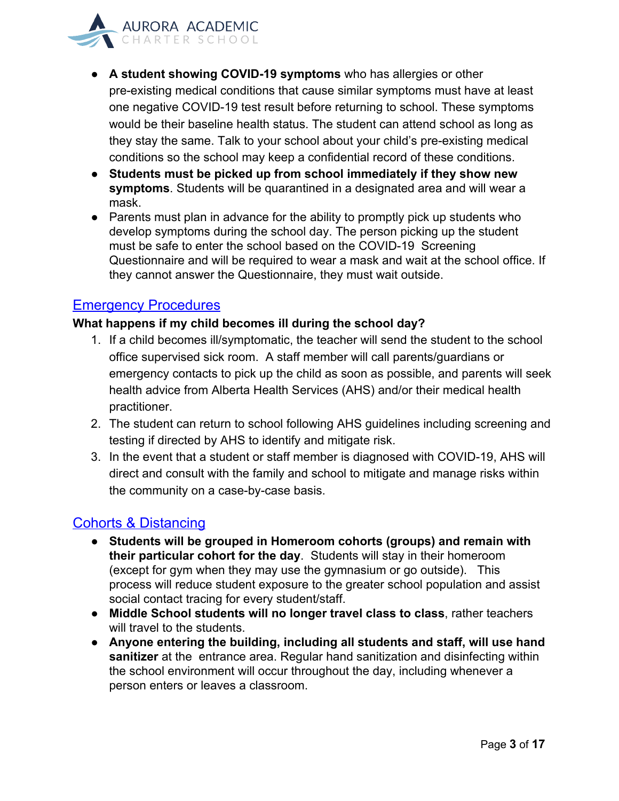

- **A student showing [C](https://www.alberta.ca/covid-19-testing-in-alberta.aspx)OVID-19 symptoms** who has allergies or other pre-existing medical conditions that cause similar symptoms must have at least one negative COVID-19 test result before returning to school. These symptoms would be their baseline health status. The student can attend school as long as they stay the same. Talk to your school about your child's pre-existing medical conditions so the school may keep a confidential record of these conditions.
- **Students must be picked up from school immediately if they show new symptoms**. Students will be quarantined in a designated area and will wear a mask.
- Parents must plan in advance for the ability to promptly pick up students who develop symptoms during the school day. The person picking up the student must be safe to enter the school based on the COVID-19 Screening Questionnaire and will be required to wear a mask and wait at the school office. If they cannot answer the Questionnaire, they must wait outside.

#### Emergency Procedures

#### **What happens if my child becomes ill during the school day?**

- 1. If a child becomes ill/symptomatic, the teacher will send the student to the school office supervised sick room. A staff member will call parents/guardians or emergency contacts to pick up the child as soon as possible, and parents will seek health advice from Alberta Health Services (AHS) and/or their medical health practitioner.
- 2. The student can return to school following AHS guidelines including screening and testing if directed by AHS to identify and mitigate risk.
- 3. In the event that a student or staff member is diagnosed with COVID-19, AHS will direct and consult with the family and school to mitigate and manage risks within the community on a case-by-case basis.

#### Cohorts & Distancing

- **Students will be grouped in Homeroom cohorts (groups) and remain with their particular cohort for the day**. Students will stay in their homeroom (except for gym when they may use the gymnasium or go outside). This process will reduce student exposure to the greater school population and assist social contact tracing for every student/staff.
- **Middle School students will no longer travel class to class**, rather teachers will travel to the students.
- **Anyone entering the building, including all students and staff, will use hand sanitizer** at the entrance area. Regular hand sanitization and disinfecting within the school environment will occur throughout the day, including whenever a person enters or leaves a classroom.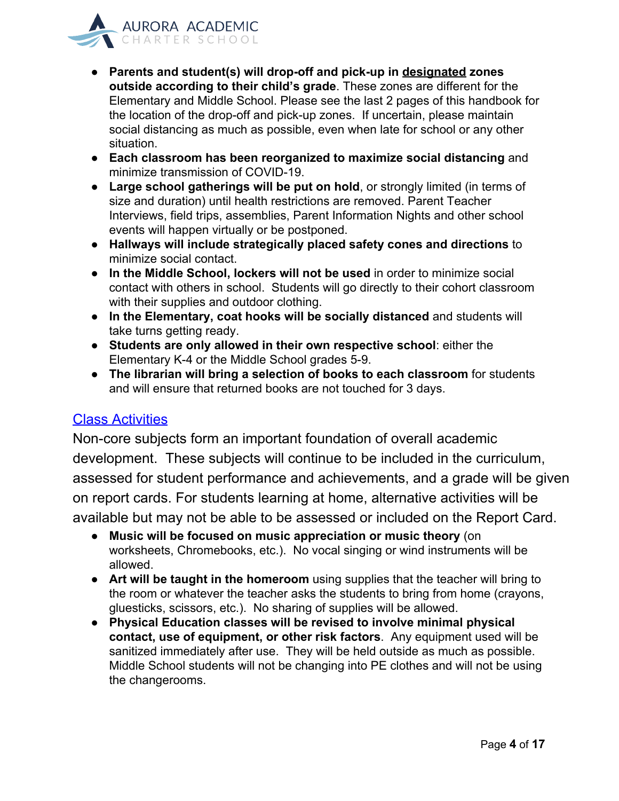

- **Parents and student(s) will drop-off and pick-up in designated zones outside according to their child's grade**. These zones are different for the Elementary and Middle School. Please see the last 2 pages of this handbook for the location of the drop-off and pick-up zones. If uncertain, please maintain social distancing as much as possible, even when late for school or any other situation.
- **Each classroom has been reorganized to maximize social distancing** and minimize transmission of COVID-19.
- **Large school gatherings will be put on hold**, or strongly limited (in terms of size and duration) until health restrictions are removed. Parent Teacher Interviews, field trips, assemblies, Parent Information Nights and other school events will happen virtually or be postponed.
- **Hallways will include strategically placed safety cones and directions** to minimize social contact.
- **In the Middle School, lockers will not be used** in order to minimize social contact with others in school. Students will go directly to their cohort classroom with their supplies and outdoor clothing.
- **In the Elementary, coat hooks will be socially distanced** and students will take turns getting ready.
- **Students are only allowed in their own respective school**: either the Elementary K-4 or the Middle School grades 5-9.
- **The librarian will bring a selection of books to each classroom** for students and will ensure that returned books are not touched for 3 days.

#### Class Activities

Non-core subjects form an important foundation of overall academic development. These subjects will continue to be included in the curriculum, assessed for student performance and achievements, and a grade will be given on report cards. For students learning at home, alternative activities will be available but may not be able to be assessed or included on the Report Card.

- **Music will be focused on music appreciation or music theory** (on worksheets, Chromebooks, etc.). No vocal singing or wind instruments will be allowed.
- **Art will be taught in the homeroom** using supplies that the teacher will bring to the room or whatever the teacher asks the students to bring from home (crayons, gluesticks, scissors, etc.). No sharing of supplies will be allowed.
- **Physical Education classes will be revised to involve minimal physical contact, use of equipment, or other risk factors**. Any equipment used will be sanitized immediately after use. They will be held outside as much as possible. Middle School students will not be changing into PE clothes and will not be using the changerooms.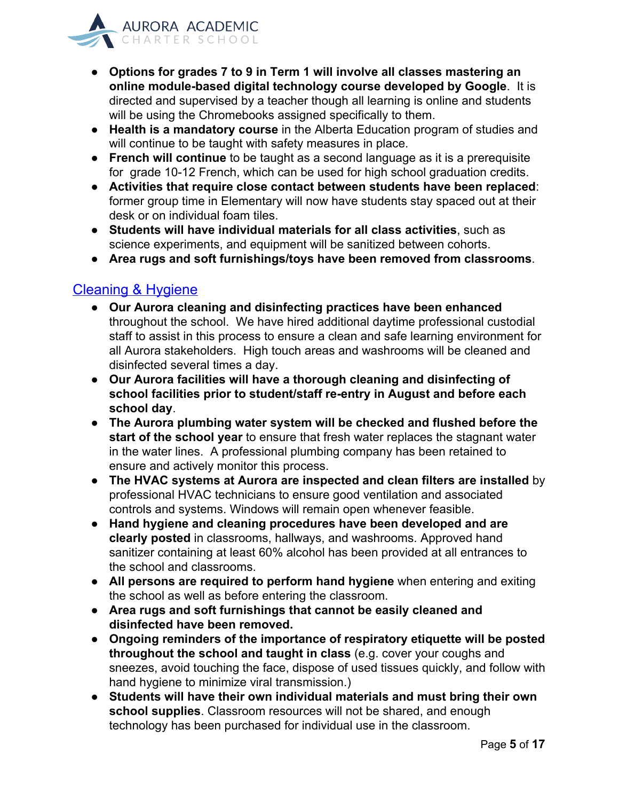

- **Options for grades 7 to 9 in Term 1 will involve all classes mastering an online module-based digital technology course developed by Google**. It is directed and supervised by a teacher though all learning is online and students will be using the Chromebooks assigned specifically to them.
- **Health is a mandatory course** in the Alberta Education program of studies and will continue to be taught with safety measures in place.
- **French will continue** to be taught as a second language as it is a prerequisite for grade 10-12 French, which can be used for high school graduation credits.
- **Activities that require close contact between students have been replaced**: former group time in Elementary will now have students stay spaced out at their desk or on individual foam tiles.
- **Students will have individual materials for all class activities**, such as science experiments, and equipment will be sanitized between cohorts.
- **Area rugs and soft furnishings/toys have been removed from classrooms**.

#### Cleaning & Hygiene

- **Our Aurora cleaning and disinfecting practices have been enhanced** throughout the school. We have hired additional daytime professional custodial staff to assist in this process to ensure a clean and safe learning environment for all Aurora stakeholders. High touch areas and washrooms will be cleaned and disinfected several times a day.
- **Our Aurora facilities will have a thorough cleaning and disinfecting of school facilities prior to student/staff re-entry in August and before each school day**.
- **The Aurora plumbing water system will be checked and flushed before the start of the school year** to ensure that fresh water replaces the stagnant water in the water lines. A professional plumbing company has been retained to ensure and actively monitor this process.
- **The HVAC systems at Aurora are inspected and clean filters are installed** by professional HVAC technicians to ensure good ventilation and associated controls and systems. Windows will remain open whenever feasible.
- **Hand hygiene and cleaning procedures have been developed and are clearly posted** in classrooms, hallways, and washrooms. Approved hand sanitizer containing at least 60% alcohol has been provided at all entrances to the school and classrooms.
- **● All persons are required to perform hand hygiene** when entering and exiting the school as well as before entering the classroom.
- **● Area rugs and soft furnishings that cannot be easily cleaned and disinfected have been removed.**
- **● Ongoing reminders of the importance of respiratory etiquette will be posted throughout the school and taught in class** (e.g. cover your coughs and sneezes, avoid touching the face, dispose of used tissues quickly, and follow with hand hygiene to minimize viral transmission.)
- **Students will have their own individual materials and must bring their own school supplies**. Classroom resources will not be shared, and enough technology has been purchased for individual use in the classroom.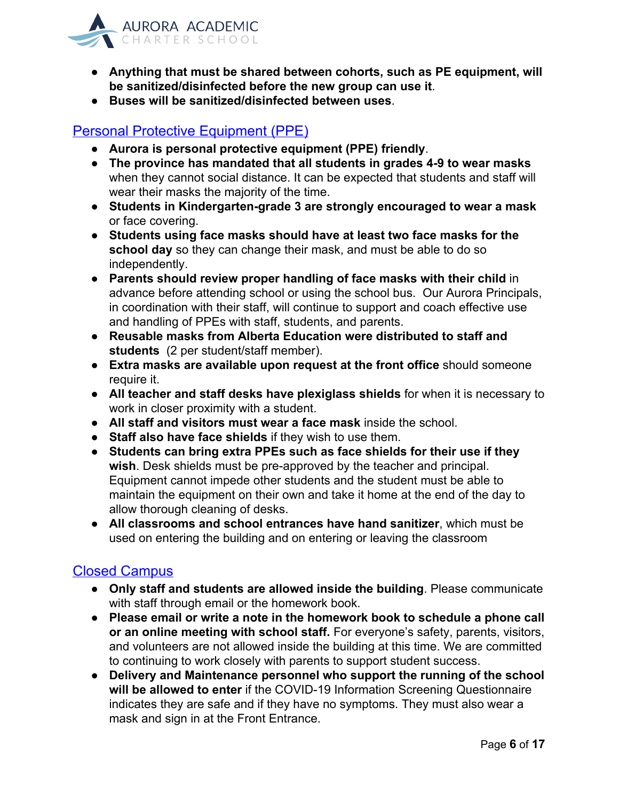

- **Anything that must be shared between cohorts, such as PE equipment, will be sanitized/disinfected before the new group can use it**.
- **Buses will be sanitized/disinfected between uses**.

#### Personal Protective Equipment (PPE)

- **Aurora is personal protective equipment (PPE) friendly**.
- **The province has mandated that all students in grades 4-9 to wear masks** when they cannot social distance. It can be expected that students and staff will wear their masks the majority of the time.
- **Students in Kindergarten-grade 3 are strongly encouraged to wear a mask** or face covering.
- **Students using face masks should have at least two face masks for the school day** so they can change their mask, and must be able to do so independently.
- **Parents should review proper handling of face masks with their child** in advance before attending school or using the school bus. Our Aurora Principals, in coordination with their staff, will continue to support and coach effective use and handling of PPEs with staff, students, and parents.
- **Reusable masks from Alberta Education were distributed to staff and students** (2 per student/staff member).
- **Extra masks are available upon request at the front office** should someone require it.
- **All teacher and staff desks have plexiglass shields** for when it is necessary to work in closer proximity with a student.
- **All staff and visitors must wear a face mask** inside the school.
- **Staff also have face shields** if they wish to use them.
- **Students can bring extra PPEs such as face shields for their use if they wish**. Desk shields must be pre-approved by the teacher and principal. Equipment cannot impede other students and the student must be able to maintain the equipment on their own and take it home at the end of the day to allow thorough cleaning of desks.
- **All classrooms and school entrances have hand sanitizer**, which must be used on entering the building and on entering or leaving the classroom

#### Closed Campus

- **Only staff and students are allowed inside the building**. Please communicate with staff through email or the homework book.
- **Please email or write a note in the homework book to schedule a phone call or an online meeting with school staff.** For everyone's safety, parents, visitors, and volunteers are not allowed inside the building at this time. We are committed to continuing to work closely with parents to support student success.
- **Delivery and Maintenance personnel who support the running of the school will be allowed to enter** if the COVID-19 Information Screening Questionnaire indicates they are safe and if they have no symptoms. They must also wear a mask and sign in at the Front Entrance.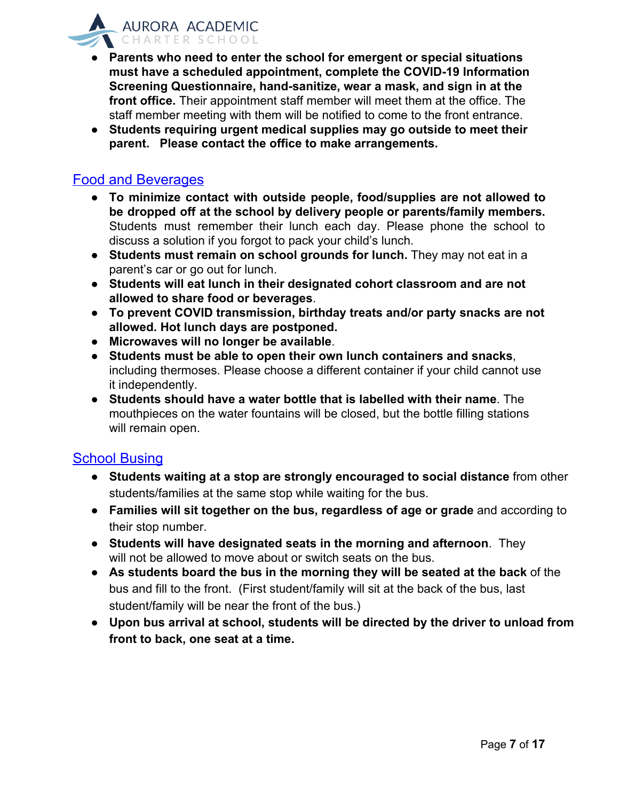

- **Parents who need to enter the school for emergent or special situations must have a scheduled appointment, complete the COVID-19 Information Screening Questionnaire, hand-sanitize, wear a mask, and sign in at the front office.** Their appointment staff member will meet them at the office. The staff member meeting with them will be notified to come to the front entrance.
- **Students requiring urgent medical supplies may go outside to meet their parent. Please contact the office to make arrangements.**

#### Food and Beverages

- **● To minimize contact with outside people, food/supplies are not allowed to be dropped off at the school by delivery people or parents/family members.** Students must remember their lunch each day. Please phone the school to discuss a solution if you forgot to pack your child's lunch.
- **Students must remain on school grounds for lunch.** They may not eat in a parent's car or go out for lunch.
- **Students will eat lunch in their designated cohort classroom and are not allowed to share food or beverages**.
- **● To prevent COVID transmission, birthday treats and/or party snacks are not allowed. Hot lunch days are postponed.**
- **Microwaves will no longer be available**.
- **Students must be able to open their own lunch containers and snacks**, including thermoses. Please choose a different container if your child cannot use it independently.
- **Students should have a water bottle that is labelled with their name**. The mouthpieces on the water fountains will be closed, but the bottle filling stations will remain open.

#### School Busing

- **Students waiting at a stop are strongly encouraged to social distance** from other students/families at the same stop while waiting for the bus.
- **Families will sit together on the bus, regardless of age or grade** and according to their stop number.
- **Students will have designated seats in the morning and afternoon**. They will not be allowed to move about or switch seats on the bus.
- **As students board the bus in the morning they will be seated at the back** of the bus and fill to the front. (First student/family will sit at the back of the bus, last student/family will be near the front of the bus.)
- **Upon bus arrival at school, students will be directed by the driver to unload from front to back, one seat at a time.**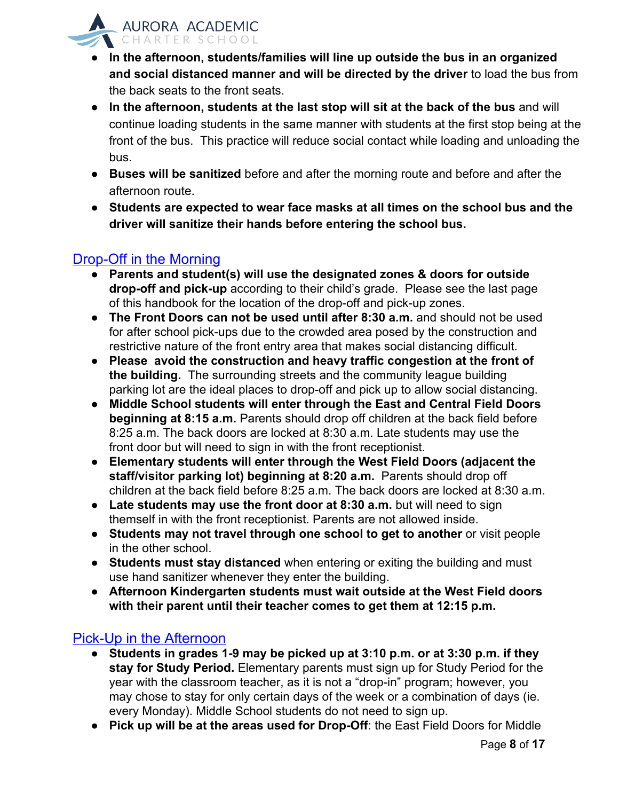

- **In the afternoon, students/families will line up outside the bus in an organized and social distanced manner and will be directed by the driver** to load the bus from the back seats to the front seats.
- **In the afternoon, students at the last stop will sit at the back of the bus** and will continue loading students in the same manner with students at the first stop being at the front of the bus. This practice will reduce social contact while loading and unloading the bus.
- **Buses will be sanitized** before and after the morning route and before and after the afternoon route.
- **● Students are expected to wear face masks at all times on the school bus and the driver will sanitize their hands before entering the school bus.**

### Drop-Off in the Morning

- **Parents and student(s) will use the designated zones & doors for outside drop-off and pick-up** according to their child's grade. Please see the last page of this handbook for the location of the drop-off and pick-up zones.
- **The Front Doors can not be used until after 8:30 a.m.** and should not be used for after school pick-ups due to the crowded area posed by the construction and restrictive nature of the front entry area that makes social distancing difficult.
- **Please avoid the construction and heavy traffic congestion at the front of the building.** The surrounding streets and the community league building parking lot are the ideal places to drop-off and pick up to allow social distancing.
- **Middle School students will enter through the East and Central Field Doors beginning at 8:15 a.m.** Parents should drop off children at the back field before 8:25 a.m. The back doors are locked at 8:30 a.m. Late students may use the front door but will need to sign in with the front receptionist.
- **Elementary students will enter through the West Field Doors (adjacent the staff/visitor parking lot) beginning at 8:20 a.m.** Parents should drop off children at the back field before 8:25 a.m. The back doors are locked at 8:30 a.m.
- **Late students may use the front door at 8:30 a.m.** but will need to sign themself in with the front receptionist. Parents are not allowed inside.
- **Students may not travel through one school to get to another** or visit people in the other school.
- **Students must stay distanced** when entering or exiting the building and must use hand sanitizer whenever they enter the building.
- **● Afternoon Kindergarten students must wait outside at the West Field doors with their parent until their teacher comes to get them at 12:15 p.m.**

### Pick-Up in the Afternoon

- **Students in grades 1-9 may be picked up at 3:10 p.m. or at 3:30 p.m. if they stay for Study Period.** Elementary parents must sign up for Study Period for the year with the classroom teacher, as it is not a "drop-in" program; however, you may chose to stay for only certain days of the week or a combination of days (ie. every Monday). Middle School students do not need to sign up.
- **Pick up will be at the areas used for Drop-Off**: the East Field Doors for Middle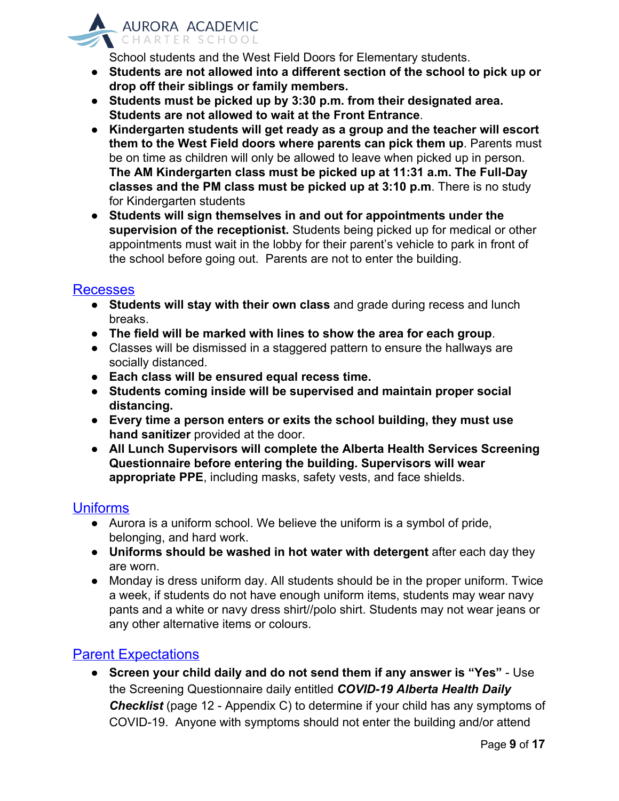

School students and the West Field Doors for Elementary students.

- **● Students are not allowed into a different section of the school to pick up or drop off their siblings or family members.**
- **Students must be picked up by 3:30 p.m. from their designated area. Students are not allowed to wait at the Front Entrance**.
- **Kindergarten students will get ready as a group and the teacher will escort them to the West Field doors where parents can pick them up**. Parents must be on time as children will only be allowed to leave when picked up in person. **The AM Kindergarten class must be picked up at 11:31 a.m. The Full-Day classes and the PM class must be picked up at 3:10 p.m**. There is no study for Kindergarten students
- **Students will sign themselves in and out for appointments under the supervision of the receptionist.** Students being picked up for medical or other appointments must wait in the lobby for their parent's vehicle to park in front of the school before going out. Parents are not to enter the building.

#### Recesses

- **Students will stay with their own class** and grade during recess and lunch breaks.
- **The field will be marked with lines to show the area for each group**.
- Classes will be dismissed in a staggered pattern to ensure the hallways are socially distanced.
- **● Each class will be ensured equal recess time.**
- **● Students coming inside will be supervised and maintain proper social distancing.**
- **Every time a person enters or exits the school building, they must use hand sanitizer** provided at the door.
- **All Lunch Supervisors will complete the Alberta Health Services Screening Questionnaire before entering the building. Supervisors will wear appropriate PPE**, including masks, safety vests, and face shields.

#### Uniforms

- Aurora is a uniform school. We believe the uniform is a symbol of pride, belonging, and hard work.
- **Uniforms should be washed in hot water with detergent** after each day they are worn.
- Monday is dress uniform day. All students should be in the proper uniform. Twice a week, if students do not have enough uniform items, students may wear navy pants and a white or navy dress shirt//polo shirt. Students may not wear jeans or any other alternative items or colours.

#### **Parent Expectations**

● **Screen your child daily and do not send them if any answer is "Yes"** - Use the Screening Questionnaire daily entitled *COVID-19 Alberta Health Daily Checklist* (page 12 - Appendix C) to determine if your child has any symptoms of COVID-19. Anyone with symptoms should not enter the building and/or attend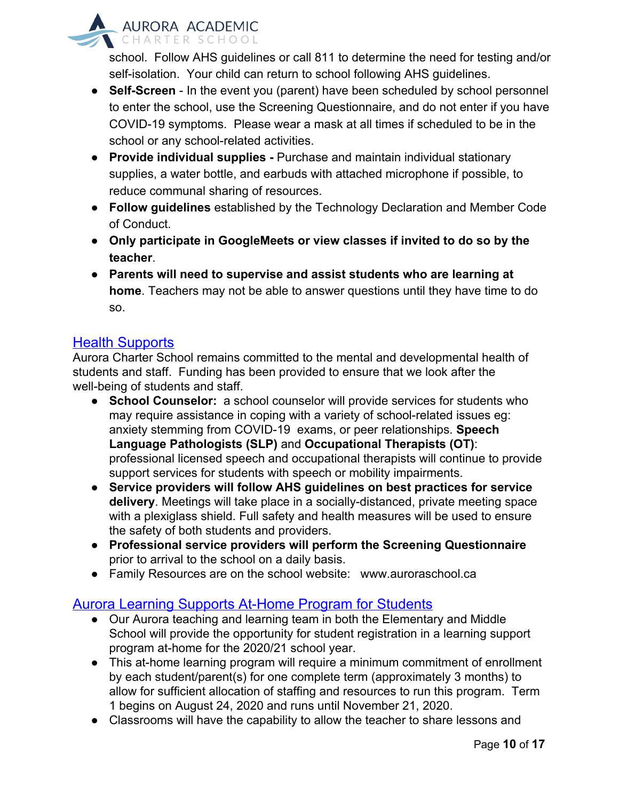

school. Follow AHS guidelines or call 811 to determine the need for testing and/or self-isolation. Your child can return to school following AHS guidelines.

- **Self-Screen** In the event you (parent) have been scheduled by school personnel to enter the school, use the Screening Questionnaire, and do not enter if you have COVID-19 symptoms. Please wear a mask at all times if scheduled to be in the school or any school-related activities.
- **Provide individual supplies -** Purchase and maintain individual stationary supplies, a water bottle, and earbuds with attached microphone if possible, to reduce communal sharing of resources.
- **Follow guidelines** established by the Technology Declaration and Member Code of Conduct.
- **Only participate in GoogleMeets or view classes if invited to do so by the teacher**.
- **Parents will need to supervise and assist students who are learning at home**. Teachers may not be able to answer questions until they have time to do so.

#### Health Supports

Aurora Charter School remains committed to the mental and developmental health of students and staff. Funding has been provided to ensure that we look after the well-being of students and staff.

- **School Counselor:** a school counselor will provide services for students who may require assistance in coping with a variety of school-related issues eg: anxiety stemming from COVID-19 exams, or peer relationships. **Speech Language Pathologists (SLP)** and **Occupational Therapists (OT)**: professional licensed speech and occupational therapists will continue to provide support services for students with speech or mobility impairments.
- **Service providers will follow AHS guidelines on best practices for service delivery**. Meetings will take place in a socially-distanced, private meeting space with a plexiglass shield. Full safety and health measures will be used to ensure the safety of both students and providers.
- **Professional service providers will perform the Screening Questionnaire** prior to arrival to the school on a daily basis.
- Family Resources are on the school website: www.auroraschool.ca

#### Aurora Learning Supports At-Home Program for Students

- Our Aurora teaching and learning team in both the Elementary and Middle School will provide the opportunity for student registration in a learning support program at-home for the 2020/21 school year.
- This at-home learning program will require a minimum commitment of enrollment by each student/parent(s) for one complete term (approximately 3 months) to allow for sufficient allocation of staffing and resources to run this program. Term 1 begins on August 24, 2020 and runs until November 21, 2020.
- Classrooms will have the capability to allow the teacher to share lessons and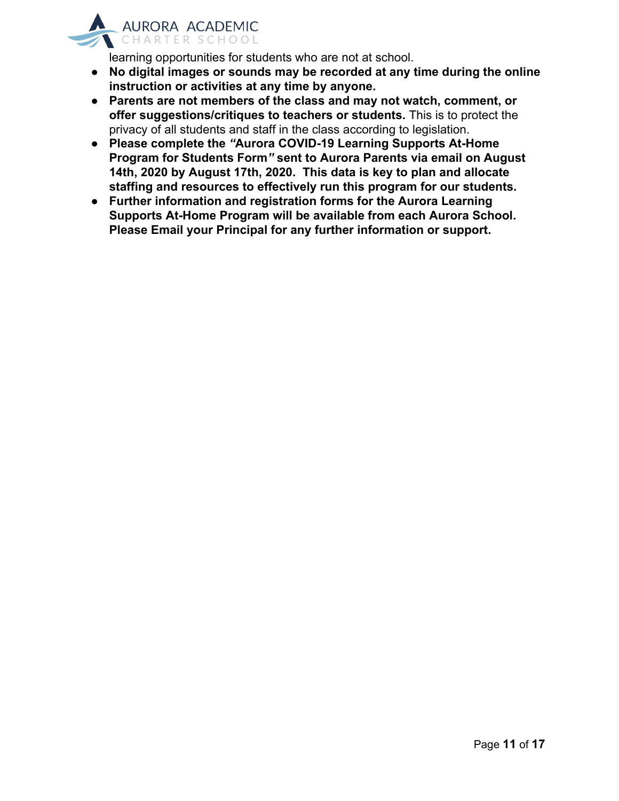

learning opportunities for students who are not at school.

- **● No digital images or sounds may be recorded at any time during the online instruction or activities at any time by anyone.**
- **● Parents are not members of the class and may not watch, comment, or offer suggestions/critiques to teachers or students.** This is to protect the privacy of all students and staff in the class according to legislation.
- **● Please complete the** *"***Aurora COVID-19 Learning Supports At-Home Program for Students Form***"* **sent to Aurora Parents via email on August 14th, 2020 by August 17th, 2020. This data is key to plan and allocate staffing and resources to effectively run this program for our students.**
- **● Further information and registration forms for the Aurora Learning Supports At-Home Program will be available from each Aurora School. Please Email your Principal for any further information or support.**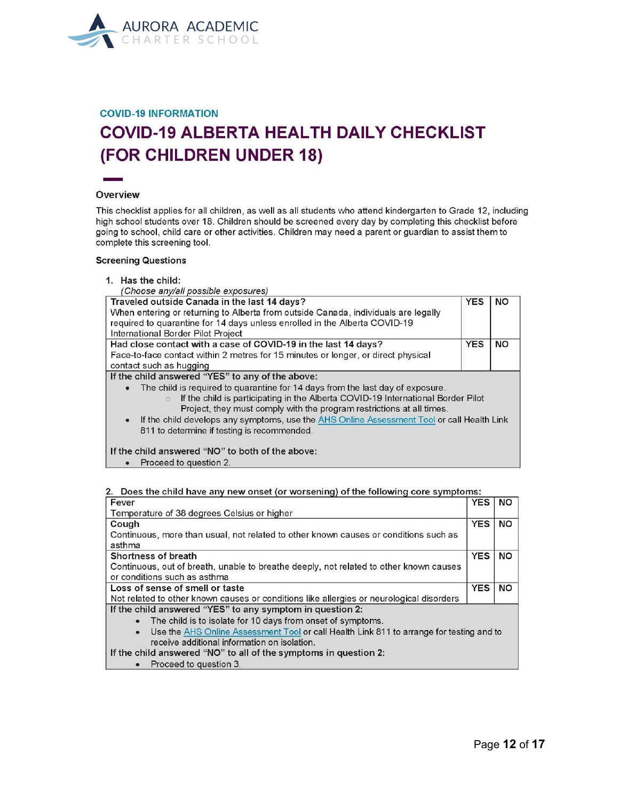

#### **COVID-19 INFORMATION**

## **COVID-19 ALBERTA HEALTH DAILY CHECKLIST** (FOR CHILDREN UNDER 18)

#### Overview

This checklist applies for all children, as well as all students who attend kindergarten to Grade 12, including high school students over 18. Children should be screened every day by completing this checklist before going to school, child care or other activities. Children may need a parent or guardian to assist them to complete this screening tool.

#### **Screening Questions**

1. Has the child:

| (Choose any/all possible exposures)                                                          |            |           |
|----------------------------------------------------------------------------------------------|------------|-----------|
| Traveled outside Canada in the last 14 days?                                                 | <b>YES</b> | <b>NO</b> |
| When entering or returning to Alberta from outside Canada, individuals are legally           |            |           |
| required to quarantine for 14 days unless enrolled in the Alberta COVID-19                   |            |           |
| International Border Pilot Project                                                           |            |           |
| Had close contact with a case of COVID-19 in the last 14 days?                               | <b>YES</b> | <b>NO</b> |
| Face-to-face contact within 2 metres for 15 minutes or longer, or direct physical            |            |           |
| contact such as hugging                                                                      |            |           |
| If the child answered "YES" to any of the above:                                             |            |           |
| The child is required to quarantine for 14 days from the last day of exposure.<br>$\bullet$  |            |           |
| If the child is participating in the Alberta COVID-19 International Border Pilot             |            |           |
| Project, they must comply with the program restrictions at all times.                        |            |           |
| • If the child develops any symptoms, use the AHS Online Assessment Tool or call Health Link |            |           |
| 811 to determine if testing is recommended.                                                  |            |           |
| If the child answered "NO" to both of the above:                                             |            |           |
| Proceed to question 2.                                                                       |            |           |

#### 2. Does the child have any new onset (or worsening) of the following core symptoms:

| Fever                                                                                                 | <b>YES</b> | <b>NO</b> |  |  |
|-------------------------------------------------------------------------------------------------------|------------|-----------|--|--|
| Temperature of 38 degrees Celsius or higher                                                           |            |           |  |  |
| Cough                                                                                                 | <b>YES</b> | <b>NO</b> |  |  |
| Continuous, more than usual, not related to other known causes or conditions such as                  |            |           |  |  |
| asthma                                                                                                |            |           |  |  |
| Shortness of breath                                                                                   | <b>YES</b> | <b>NO</b> |  |  |
| Continuous, out of breath, unable to breathe deeply, not related to other known causes                |            |           |  |  |
| or conditions such as asthma                                                                          |            |           |  |  |
| Loss of sense of smell or taste                                                                       | <b>YES</b> | <b>NO</b> |  |  |
| Not related to other known causes or conditions like allergies or neurological disorders              |            |           |  |  |
| If the child answered "YES" to any symptom in question 2:                                             |            |           |  |  |
| The child is to isolate for 10 days from onset of symptoms.<br>$\bullet$                              |            |           |  |  |
| Use the AHS Online Assessment Tool or call Health Link 811 to arrange for testing and to<br>$\bullet$ |            |           |  |  |
| receive additional information on isolation.                                                          |            |           |  |  |
| If the child answered "NO" to all of the symptoms in question 2:                                      |            |           |  |  |
|                                                                                                       |            |           |  |  |

• Proceed to question 3.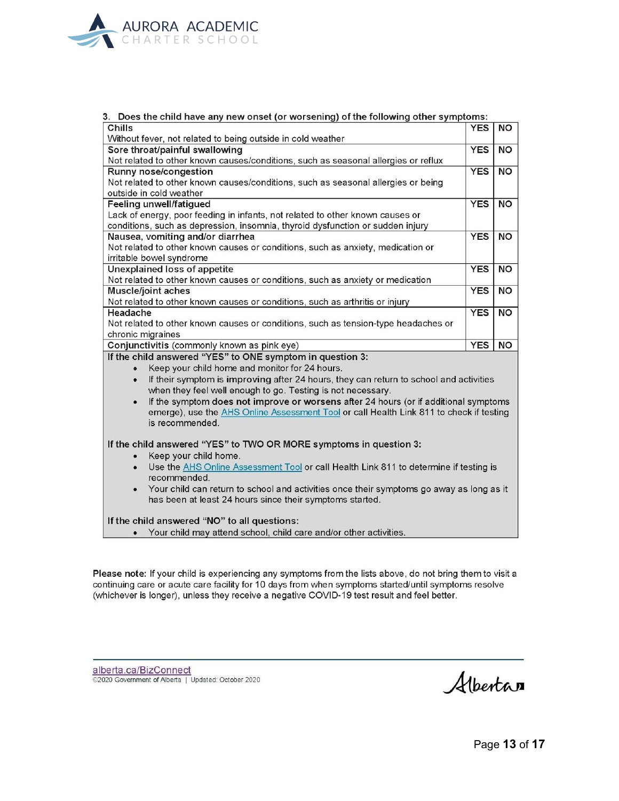

| 3. Does the child have any new onset (or worsening) of the following other symptoms:                |            |           |  |  |
|-----------------------------------------------------------------------------------------------------|------------|-----------|--|--|
| Chills                                                                                              | <b>YES</b> | <b>NO</b> |  |  |
| Without fever, not related to being outside in cold weather                                         |            |           |  |  |
| Sore throat/painful swallowing                                                                      | <b>YES</b> | <b>NO</b> |  |  |
| Not related to other known causes/conditions, such as seasonal allergies or reflux                  |            |           |  |  |
| Runny nose/congestion                                                                               | <b>YES</b> | <b>NO</b> |  |  |
| Not related to other known causes/conditions, such as seasonal allergies or being                   |            |           |  |  |
| outside in cold weather                                                                             |            |           |  |  |
| Feeling unwell/fatigued                                                                             | <b>YES</b> | <b>NO</b> |  |  |
| Lack of energy, poor feeding in infants, not related to other known causes or                       |            |           |  |  |
| conditions, such as depression, insomnia, thyroid dysfunction or sudden injury                      |            |           |  |  |
| Nausea, vomiting and/or diarrhea                                                                    | <b>YES</b> | <b>NO</b> |  |  |
| Not related to other known causes or conditions, such as anxiety, medication or                     |            |           |  |  |
| irritable bowel syndrome                                                                            |            |           |  |  |
| <b>Unexplained loss of appetite</b>                                                                 | <b>YES</b> | <b>NO</b> |  |  |
| Not related to other known causes or conditions, such as anxiety or medication                      |            |           |  |  |
| Muscle/joint aches                                                                                  | <b>YES</b> | <b>NO</b> |  |  |
| Not related to other known causes or conditions, such as arthritis or injury                        |            |           |  |  |
| Headache                                                                                            | <b>YES</b> | <b>NO</b> |  |  |
| Not related to other known causes or conditions, such as tension-type headaches or                  |            |           |  |  |
| chronic migraines                                                                                   |            |           |  |  |
| Conjunctivitis (commonly known as pink eye)                                                         | <b>YES</b> | <b>NO</b> |  |  |
| If the child answered "YES" to ONE symptom in question 3:                                           |            |           |  |  |
| Keep your child home and monitor for 24 hours.<br>$\bullet$                                         |            |           |  |  |
| If their symptom is improving after 24 hours, they can return to school and activities<br>$\bullet$ |            |           |  |  |
| when they feel well enough to go. Testing is not necessary.                                         |            |           |  |  |
| If the symptom does not improve or worsens after 24 hours (or if additional symptoms<br>$\bullet$   |            |           |  |  |
| emerge), use the AHS Online Assessment Tool or call Health Link 811 to check if testing             |            |           |  |  |
| is recommended.                                                                                     |            |           |  |  |
|                                                                                                     |            |           |  |  |
| If the child answered "YES" to TWO OR MORE symptoms in question 3:                                  |            |           |  |  |
| Keep your child home.                                                                               |            |           |  |  |
| Use the AHS Online Assessment Tool or call Health Link 811 to determine if testing is<br>$\bullet$  |            |           |  |  |
| recommended.                                                                                        |            |           |  |  |
| Your child can return to school and activities once their symptoms go away as long as it            |            |           |  |  |
| has been at least 24 hours since their symptoms started.                                            |            |           |  |  |
|                                                                                                     |            |           |  |  |
| If the child answered "NO" to all questions:                                                        |            |           |  |  |
| • Your child may attend school, child care and/or other activities.                                 |            |           |  |  |

Please note: If your child is experiencing any symptoms from the lists above, do not bring them to visit a continuing care or acute care facility for 10 days from when symptoms started/until symptoms resolve (whichever is longer), unless they receive a negative COVID-19 test result and feel better.

alberta.ca/BizConnect<br>©2020 Government of Alberta | Updated: October 2020

Albertan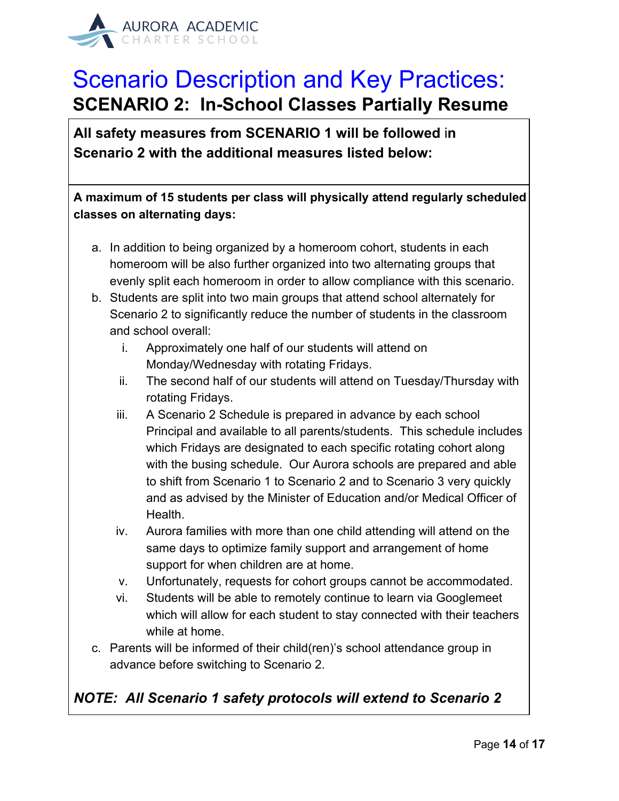

## Scenario Description and Key Practices: **SCENARIO 2: In-School Classes Partially Resume**

**All safety measures from SCENARIO 1 will be followed** i**n Scenario 2 with the additional measures listed below:**

**A maximum of 15 students per class will physically attend regularly scheduled classes on alternating days:**

- a. In addition to being organized by a homeroom cohort, students in each homeroom will be also further organized into two alternating groups that evenly split each homeroom in order to allow compliance with this scenario.
- b. Students are split into two main groups that attend school alternately for Scenario 2 to significantly reduce the number of students in the classroom and school overall:
	- i. Approximately one half of our students will attend on Monday/Wednesday with rotating Fridays.
	- ii. The second half of our students will attend on Tuesday/Thursday with rotating Fridays.
	- iii. A Scenario 2 Schedule is prepared in advance by each school Principal and available to all parents/students. This schedule includes which Fridays are designated to each specific rotating cohort along with the busing schedule. Our Aurora schools are prepared and able to shift from Scenario 1 to Scenario 2 and to Scenario 3 very quickly and as advised by the Minister of Education and/or Medical Officer of Health.
	- iv. Aurora families with more than one child attending will attend on the same days to optimize family support and arrangement of home support for when children are at home.
	- v. Unfortunately, requests for cohort groups cannot be accommodated.
	- vi. Students will be able to remotely continue to learn via Googlemeet which will allow for each student to stay connected with their teachers while at home.
- c. Parents will be informed of their child(ren)'s school attendance group in advance before switching to Scenario 2.

### *NOTE: All Scenario 1 safety protocols will extend to Scenario 2*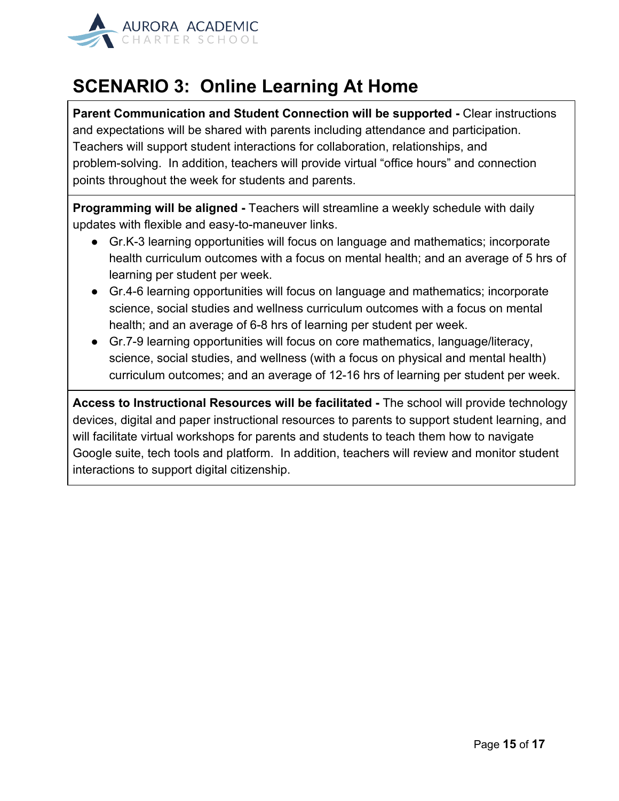

### **SCENARIO 3: Online Learning At Home**

**Parent Communication and Student Connection will be supported -** Clear instructions and expectations will be shared with parents including attendance and participation. Teachers will support student interactions for collaboration, relationships, and problem-solving. In addition, teachers will provide virtual "office hours" and connection points throughout the week for students and parents.

**Programming will be aligned -** Teachers will streamline a weekly schedule with daily updates with flexible and easy-to-maneuver links.

- Gr.K-3 learning opportunities will focus on language and mathematics; incorporate health curriculum outcomes with a focus on mental health; and an average of 5 hrs of learning per student per week.
- Gr.4-6 learning opportunities will focus on language and mathematics; incorporate science, social studies and wellness curriculum outcomes with a focus on mental health; and an average of 6-8 hrs of learning per student per week.
- Gr.7-9 learning opportunities will focus on core mathematics, language/literacy, science, social studies, and wellness (with a focus on physical and mental health) curriculum outcomes; and an average of 12-16 hrs of learning per student per week.

**Access to Instructional Resources will be facilitated -** The school will provide technology devices, digital and paper instructional resources to parents to support student learning, and will facilitate virtual workshops for parents and students to teach them how to navigate Google suite, tech tools and platform. In addition, teachers will review and monitor student interactions to support digital citizenship.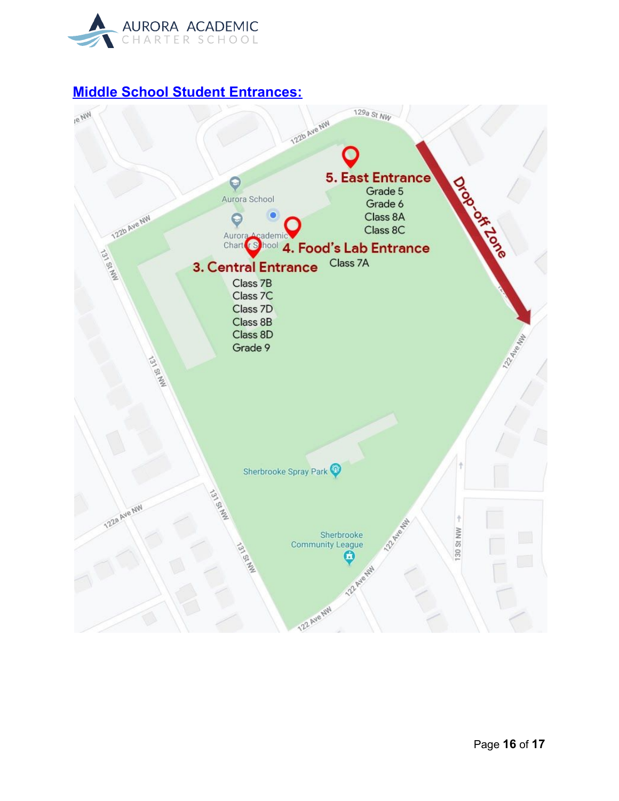

#### **Middle School Student Entrances:**